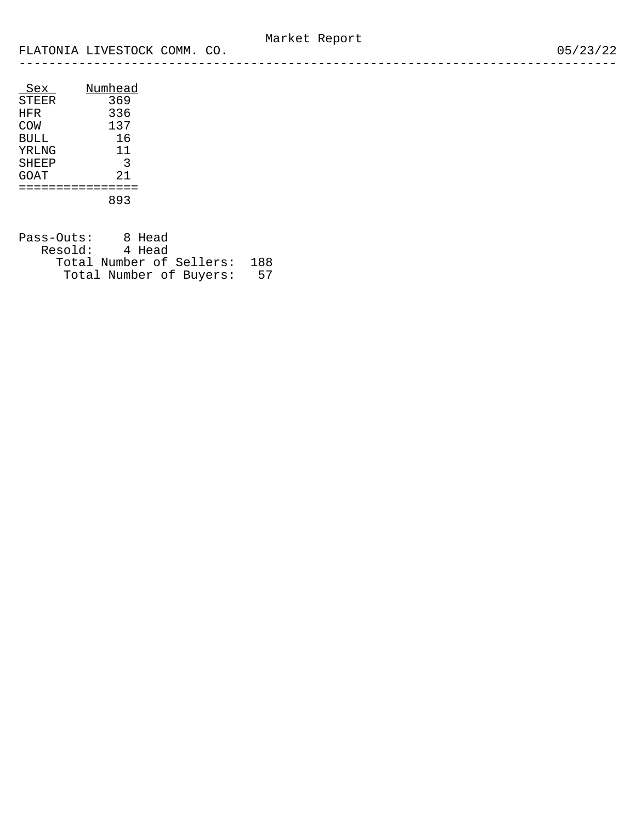| Sex         | Numhead |
|-------------|---------|
| STEER       | 369     |
| HFR         | 336     |
| COW         | 137     |
| <b>BULL</b> | 16      |
| YRLNG       | 11      |
| SHEEP       | 3       |
| GOAT        | 2.1     |
|             |         |
|             | 893     |

| Pass-Outs:     | 8 Head |                          |     |
|----------------|--------|--------------------------|-----|
| Resold: 4 Head |        |                          |     |
|                |        | Total Number of Sellers: | 188 |
|                |        | Total Number of Buvers:  | 57  |